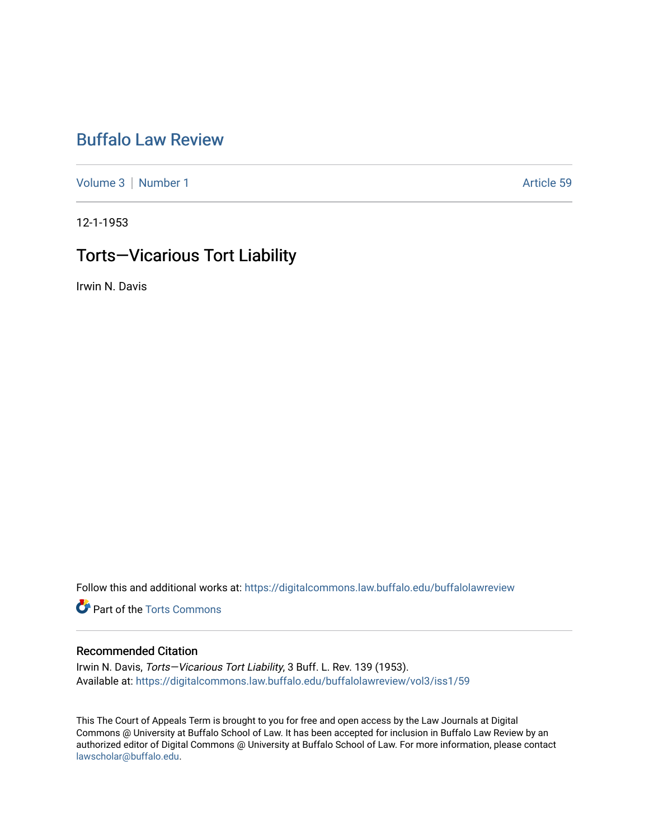## [Buffalo Law Review](https://digitalcommons.law.buffalo.edu/buffalolawreview)

[Volume 3](https://digitalcommons.law.buffalo.edu/buffalolawreview/vol3) | [Number 1](https://digitalcommons.law.buffalo.edu/buffalolawreview/vol3/iss1) Article 59

12-1-1953

## Torts—Vicarious Tort Liability

Irwin N. Davis

Follow this and additional works at: [https://digitalcommons.law.buffalo.edu/buffalolawreview](https://digitalcommons.law.buffalo.edu/buffalolawreview?utm_source=digitalcommons.law.buffalo.edu%2Fbuffalolawreview%2Fvol3%2Fiss1%2F59&utm_medium=PDF&utm_campaign=PDFCoverPages) 

**P** Part of the [Torts Commons](http://network.bepress.com/hgg/discipline/913?utm_source=digitalcommons.law.buffalo.edu%2Fbuffalolawreview%2Fvol3%2Fiss1%2F59&utm_medium=PDF&utm_campaign=PDFCoverPages)

## Recommended Citation

Irwin N. Davis, Torts—Vicarious Tort Liability, 3 Buff. L. Rev. 139 (1953). Available at: [https://digitalcommons.law.buffalo.edu/buffalolawreview/vol3/iss1/59](https://digitalcommons.law.buffalo.edu/buffalolawreview/vol3/iss1/59?utm_source=digitalcommons.law.buffalo.edu%2Fbuffalolawreview%2Fvol3%2Fiss1%2F59&utm_medium=PDF&utm_campaign=PDFCoverPages) 

This The Court of Appeals Term is brought to you for free and open access by the Law Journals at Digital Commons @ University at Buffalo School of Law. It has been accepted for inclusion in Buffalo Law Review by an authorized editor of Digital Commons @ University at Buffalo School of Law. For more information, please contact [lawscholar@buffalo.edu](mailto:lawscholar@buffalo.edu).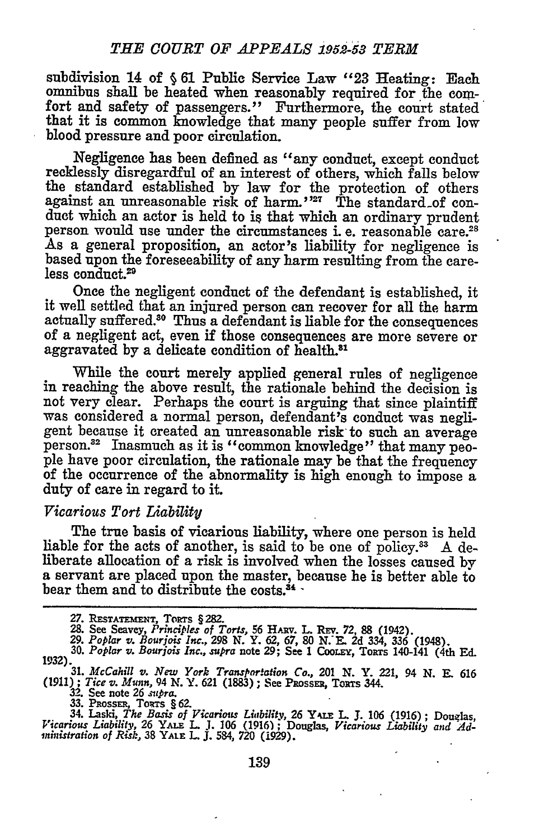subdivision 14 of *§* **61** Public Service Law *"23* Heating: Each omnibus shall be heated when reasonably required for the comfort and safety of passengers." Furthermore, the court stated that it is common knowledge that many people suffer from low blood pressure and poor circulation.

Negligence has been defined as "any conduct, except conduct recklessly disregardful of an interest of others, which falls below the standard established **by** law for the protection of others against an unreasonable risk of harm."<sup>27</sup> The standard of conduct which an actor is held to is that which an ordinary prudent person would use under the circumstances i. e. reasonable care.<sup>28</sup> As a general proposition, an actor's liability for negligence is based upon the foreseeability of any harm resulting from the careless conduct.<sup>29</sup>

Once the negligent conduct of the defendant is established, it it well settled that an injured person can recover for all the harm actually suffered.<sup>30</sup> Thus a defendant is liable for the consequences of a negligent act, even if those consequences are more severe or aggravated **by** a delicate condition of health.81

While the court merely applied general rules of negligence in reaching the above result, the rationale behind the decision is not very clear. Perhaps the court is arguing that since plaintiff was considered a normal person, defendant's conduct was negli- gent because it created an unreasonable risk to such an average person.<sup>32</sup> Inasmuch as it is "common knowledge" that many peo-<br>ple have poor circulation, the rationale may be that the frequency<br>of the occurrence of the abnormality is high enough to impose a duty of care in regard to it.

## *Vicarious Tort Liability*

The true basis of vicarious liability, where one person is held liable for the acts of another, is said to be one of policy.<sup>33</sup> A deliberate allocation of a risk is involved when the losses caused by a servant are placed upon the master, because he is better able to bear them and to distribute the costs. $34 -$ 

28. See Seavey, Principles of Torts, 56 HARV. L. REV. 72, 88 (1942).<br>29. Poplar v. Bourjois Inc., 298 N. Y. 62, 67, 80 N. E. 2d 334, 336 (1948).<br>30. Poplar v. Bourjois Inc., supra note 29; See 1 Coolex, Torrs 140-141 (4th

**<sup>27.</sup>** RESTATEmEN, ToRTs § **282.**

**<sup>31.</sup>** *McCahill v. New York Transpor.ation Co.,* **201 N. Y. 221, 94 N.** *E.* **<sup>616</sup> (1911);** *Tice v. Munn, 94* N. **Y. 621 (1883); See PRossn, Tots** 344.

**<sup>32.</sup>** See **note 26** *supra.* **33. PNossa, To** rs § **62.**

**<sup>34.</sup> Laski,** *The Basis of Vicarious Liability,* **26 Yk=. L. J. 106 (1916); Douglas,** *Vicarious Liability,* **26 YALE L J. 106 (1916);** Douglas, *Vicarious Liability and Administration of Risk,* **38 YALE L J. 584, 720 (1929).**